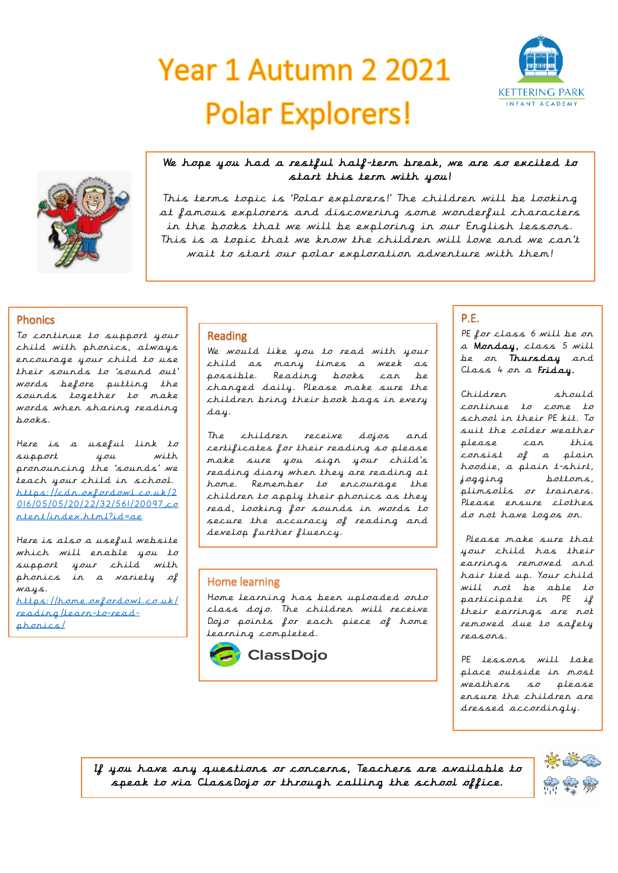# Year 1 Autumn 2 2021 **Polar Explorers!**





## We hope you had a restful half-term break, we are so excited to start this term with you!

This terms topic is 'Polar explorers!' The children will be looking at famous explorers and discovering some wonderful characters in the books that we will be exploring in our English lessons. This is a topic that we know the children will love and we can't wait to start our polar exploration adventure with them!

## Phonics

To continue to support your child with phonics, always encourage your child to use their sounds to 'sound out' words before putting the sounds together to make words when sharing reading  $h$ aaks.

Here is a useful link to support you with pronouncing the 'sounds' we teach your child in school. [https://cdn.oxfordowl.co.uk/2](https://cdn.oxfordowl.co.uk/2016/05/05/20/22/32/561/20097_content/index.html?id=ae)  $016/05/05/20/22/32/561/20097c\sigma$ [ntent/index.html?id=ae](https://cdn.oxfordowl.co.uk/2016/05/05/20/22/32/561/20097_content/index.html?id=ae)

Here is also a useful website which will enable you to support your child with phonics in a variety of ways. [https://home.oxfordowl.co.uk/](https://home.oxfordowl.co.uk/reading/learn-to-read-phonics/) [reading/learn-to-read](https://home.oxfordowl.co.uk/reading/learn-to-read-phonics/)[phonics/](https://home.oxfordowl.co.uk/reading/learn-to-read-phonics/)

## Reading

We would like you to read with your child as many times a week as possible. Reading books can be changed daily. Please make sure the children bring their book bags in every day.

The children receive dojos and certificates for their reading so please make sure you sign your child's reading diary when they are reading at home. Remember to encourage the children to apply their phonics as they read, looking for sounds in words to secure the accuracy of reading and develop further fluency.

## Home learning

Home learning has been uploaded onto class dojo. The children will receive Dojo points for each piece of home learning completed.



## P.E.

PE for class 6 will be on a Monday, class 5 will be on Thursday and Class 4 on a Friday.

Children should continue to come to school in their PE kit. To suit the colder weather please can this consist of a plain hoodie, a plain t-shirt, jogging bottoms, plimsolls or trainers. Please ensure clothes do not have logos on.

Please make sure that your child has their earrings removed and hair tied up. Your child will not be able to participate in PE if their earrings are not removed due to safety reasons.

PE lessons will take place outside in most weathers so please ensure the children are dressed accordingly.

If you have any questions or concerns, Teachers are available to speak to via ClassDojo or through calling the school office.